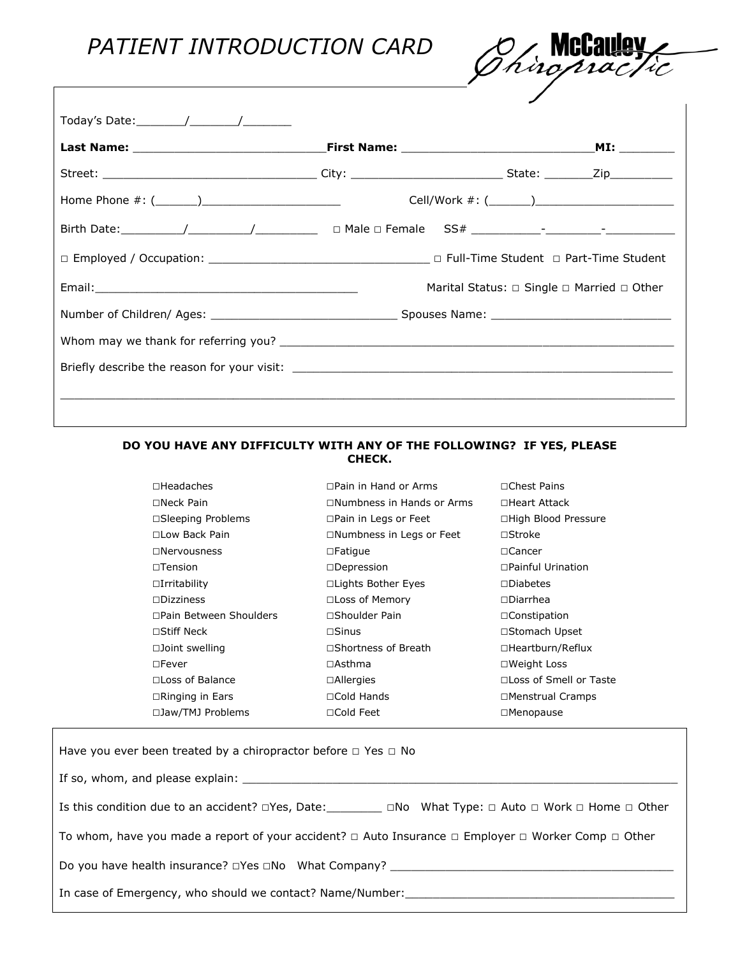## *PATIENT INTRODUCTION CARD*



| Today's Date: $\frac{1}{\sqrt{2\pi}}$ |                                                           |  |
|---------------------------------------|-----------------------------------------------------------|--|
|                                       |                                                           |  |
|                                       |                                                           |  |
|                                       |                                                           |  |
|                                       |                                                           |  |
|                                       |                                                           |  |
|                                       | Marital Status: $\Box$ Single $\Box$ Married $\Box$ Other |  |
|                                       |                                                           |  |
|                                       |                                                           |  |
|                                       |                                                           |  |
|                                       |                                                           |  |
|                                       |                                                           |  |

## **DO YOU HAVE ANY DIFFICULTY WITH ANY OF THE FOLLOWING? IF YES, PLEASE CHECK.**

| $\square$ Headaches         | $\Box$ Pain in Hand or Arms      | $\sqcap$ Chest Pains     |
|-----------------------------|----------------------------------|--------------------------|
| $\Box$ Neck Pain            | $\Box$ Numbness in Hands or Arms | ∩Heart Attack            |
| $\square$ Sleeping Problems | $\Box$ Pain in Legs or Feet      | □High Blood Pressure     |
| □Low Back Pain              | □Numbness in Legs or Feet        | $\Box$ Stroke            |
| $\Box$ Nervousness          | $\Box$ Fatique                   | $\Box$ Cancer            |
| $\sqcap$ Tension            | $\square$ Depression             | $\Box$ Painful Urination |
| $\Box$ Irritability         | □Lights Bother Eyes              | $\square$ Diabetes       |
| $\Box$ Dizziness            | □Loss of Memory                  | $\Box$ Diarrhea          |
| □Pain Between Shoulders     | □ Shoulder Pain                  | □Constipation            |
| $\Box$ Stiff Neck           | $\Box$ Sinus                     | □Stomach Upset           |
| $\square$ Joint swelling    | □ Shortness of Breath            | □Heartburn/Reflux        |
| $\square$ Fever             | $\Box$ Asthma                    | □Weight Loss             |
| □Loss of Balance            | $\Box$ Allergies                 | □Loss of Smell or Taste  |
| $\Box$ Ringing in Ears      | $\Box$ Cold Hands                | □Menstrual Cramps        |
| □Jaw/TMJ Problems           | □Cold Feet                       | □Menopause               |

| Have you ever been treated by a chiropractor before $\Box$ Yes $\Box$ No                                                             |
|--------------------------------------------------------------------------------------------------------------------------------------|
|                                                                                                                                      |
| Is this condition due to an accident? $\Box$ Yes, Date: $\Box$ $\Box$ No What Type: $\Box$ Auto $\Box$ Work $\Box$ Home $\Box$ Other |
| To whom, have you made a report of your accident? $\Box$ Auto Insurance $\Box$ Employer $\Box$ Worker Comp $\Box$ Other              |
|                                                                                                                                      |
| In case of Emergency, who should we contact? Name/Number:                                                                            |